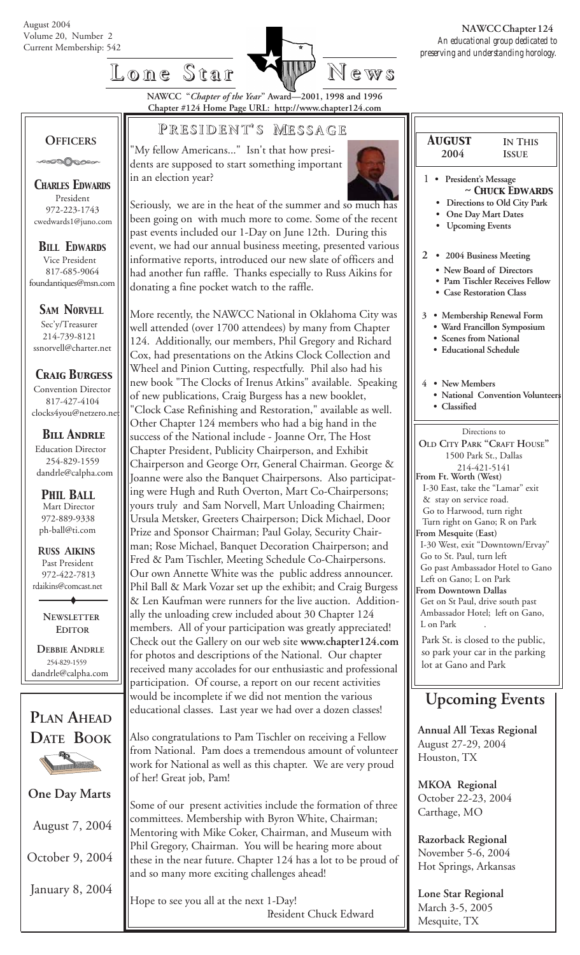

# **Lone Star Lone Star News**

**NAWCC "***Chapter of the Year***" Award—2001, 1998 and 1996 Chapter #124 Home Page URL: http://www.chapter124.com**

### **OFFICERS**

**POOOOOO** 

*CHARLES EDWARDS* President 972-223-1743 cwedwards1@juno.com

*BILL EDWARDS* Vice President 817-685-9064 foundantiques@msn.com

**SAM NORVELL** 

 Sec'y/Treasurer 214-739-8121 ssnorvell@charter.net

*Craig Burgess*

 Convention Director 817-427-4104 clocks4you@netzero.ne

 *Bill Andrle* Education Director 254-829-1559 dandrle@calpha.com

 Mart Director 972-889-9338 ph-ball@ti.com *PHIL BALL*

 **R***USS* **A***IKINS* Past President 972-422-7813 rdaikins@comcast.net

> **NEWSLETTER EDITOR**

 **DEBBIE ANDRLE** 254-829-1559 dandrle@calpha.com



**One Day Marts**

August 7, 2004

October 9, 2004

January 8, 2004

### **P RESIDENT RESIDENT' S M ESSAGE**

'My fellow Americans..." Isn't that how presidents are supposed to start something important in an election year?



Seriously, we are in the heat of the summer and so much has been going on with much more to come. Some of the recent past events included our 1-Day on June 12th. During this event, we had our annual business meeting, presented various informative reports, introduced our new slate of officers and had another fun raffle. Thanks especially to Russ Aikins for donating a fine pocket watch to the raffle.

More recently, the NAWCC National in Oklahoma City was well attended (over 1700 attendees) by many from Chapter 124. Additionally, our members, Phil Gregory and Richard Cox, had presentations on the Atkins Clock Collection and Wheel and Pinion Cutting, respectfully. Phil also had his new book "The Clocks of Irenus Atkins" available. Speaking of new publications, Craig Burgess has a new booklet, "Clock Case Refinishing and Restoration," available as well. Other Chapter 124 members who had a big hand in the success of the National include - Joanne Orr, The Host Chapter President, Publicity Chairperson, and Exhibit Chairperson and George Orr, General Chairman. George & Joanne were also the Banquet Chairpersons. Also participating were Hugh and Ruth Overton, Mart Co-Chairpersons; yours truly and Sam Norvell, Mart Unloading Chairmen; Ursula Metsker, Greeters Chairperson; Dick Michael, Door Prize and Sponsor Chairman; Paul Golay, Security Chairman; Rose Michael, Banquet Decoration Chairperson; and Fred & Pam Tischler, Meeting Schedule Co-Chairpersons. Our own Annette White was the public address announcer. Phil Ball & Mark Vozar set up the exhibit; and Craig Burgess & Len Kaufman were runners for the live auction. Additionally the unloading crew included about 30 Chapter 124 members. All of your participation was greatly appreciated! Check out the Gallery on our web site **www.chapter124.com** for photos and descriptions of the National. Our chapter received many accolades for our enthusiastic and professional participation. Of course, a report on our recent activities would be incomplete if we did not mention the various educational classes. Last year we had over a dozen classes!

Also congratulations to Pam Tischler on receiving a Fellow from National. Pam does a tremendous amount of volunteer work for National as well as this chapter. We are very proud of her! Great job, Pam!

Some of our present activities include the formation of three committees. Membership with Byron White, Chairman; Mentoring with Mike Coker, Chairman, and Museum with Phil Gregory, Chairman. You will be hearing more about these in the near future. Chapter 124 has a lot to be proud of and so many more exciting challenges ahead!

Hope to see you all at the next 1-Day! President Chuck Edward

| <b>AUGUST</b>                                                            | <b>IN THIS</b>                                                                             |
|--------------------------------------------------------------------------|--------------------------------------------------------------------------------------------|
| 2004                                                                     | <b>ISSUE</b>                                                                               |
| 1<br>President's Message<br>One Day Mart Dates<br><b>Upcoming Events</b> | $\sim$ Chuck Edwards<br>Directions to Old City Park                                        |
| 2<br>• Case Restoration Class                                            | • 2004 Business Meeting<br>• New Board of Directors<br><b>Pam Tischler Receives Fellow</b> |
| • Scenes from National<br>· Educational Schedule                         | 3 • Membership Renewal Form<br>· Ward Francillon Symposium                                 |
| 4 • New Members<br>Classified                                            | • National Convention Volunteers                                                           |

Directions to **OLD CITY PARK "CRAFT HOUSE"** 1500 Park St., Dallas 214-421-5141 **From Ft. Worth (West)** I-30 East, take the "Lamar" exit & stay on service road. Go to Harwood, turn right Turn right on Gano; R on Park **From Mesquite (East)** I-30 West, exit "Downtown/Ervay" Go to St. Paul, turn left Go past Ambassador Hotel to Gano Left on Gano; L on Park **From Downtown Dallas** Get on St Paul, drive south past Ambassador Hotel; left on Gano, L on Park Park St. is closed to the public,

so park your car in the parking lot at Gano and Park

### **Upcoming Events**

**Annual All Texas Regional** August 27-29, 2004 Houston, TX

**MKOA Regional** October 22-23, 2004 Carthage, MO

**Razorback Regional** November 5-6, 2004 Hot Springs, Arkansas

**Lone Star Regional** March 3-5, 2005 Mesquite, TX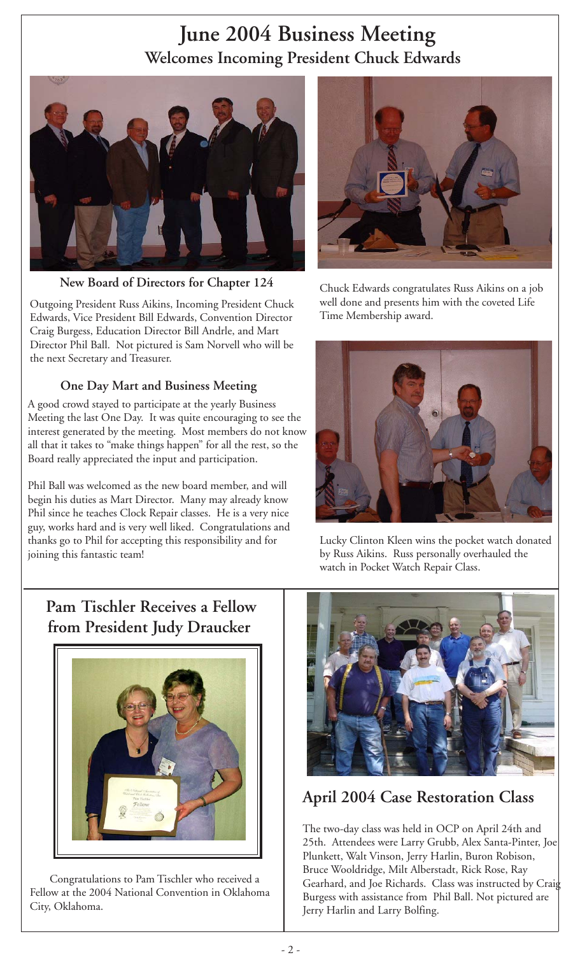# **June 2004 Business Meeting Welcomes Incoming President Chuck Edwards**



**New Board of Directors for Chapter 124**

Outgoing President Russ Aikins, Incoming President Chuck Edwards, Vice President Bill Edwards, Convention Director Craig Burgess, Education Director Bill Andrle, and Mart Director Phil Ball. Not pictured is Sam Norvell who will be the next Secretary and Treasurer.

### **One Day Mart and Business Meeting**

A good crowd stayed to participate at the yearly Business Meeting the last One Day. It was quite encouraging to see the interest generated by the meeting. Most members do not know all that it takes to "make things happen" for all the rest, so the Board really appreciated the input and participation.

Phil Ball was welcomed as the new board member, and will begin his duties as Mart Director. Many may already know Phil since he teaches Clock Repair classes. He is a very nice guy, works hard and is very well liked. Congratulations and thanks go to Phil for accepting this responsibility and for joining this fantastic team!



Chuck Edwards congratulates Russ Aikins on a job well done and presents him with the coveted Life Time Membership award.



Lucky Clinton Kleen wins the pocket watch donated by Russ Aikins. Russ personally overhauled the watch in Pocket Watch Repair Class.

### **Pam Tischler Receives a Fellow from President Judy Draucker**



 Congratulations to Pam Tischler who received a Fellow at the 2004 National Convention in Oklahoma City, Oklahoma.



### **April 2004 Case Restoration Class**

The two-day class was held in OCP on April 24th and 25th. Attendees were Larry Grubb, Alex Santa-Pinter, Joe Plunkett, Walt Vinson, Jerry Harlin, Buron Robison, Bruce Wooldridge, Milt Alberstadt, Rick Rose, Ray Gearhard, and Joe Richards. Class was instructed by Craig Burgess with assistance from Phil Ball. Not pictured are Jerry Harlin and Larry Bolfing.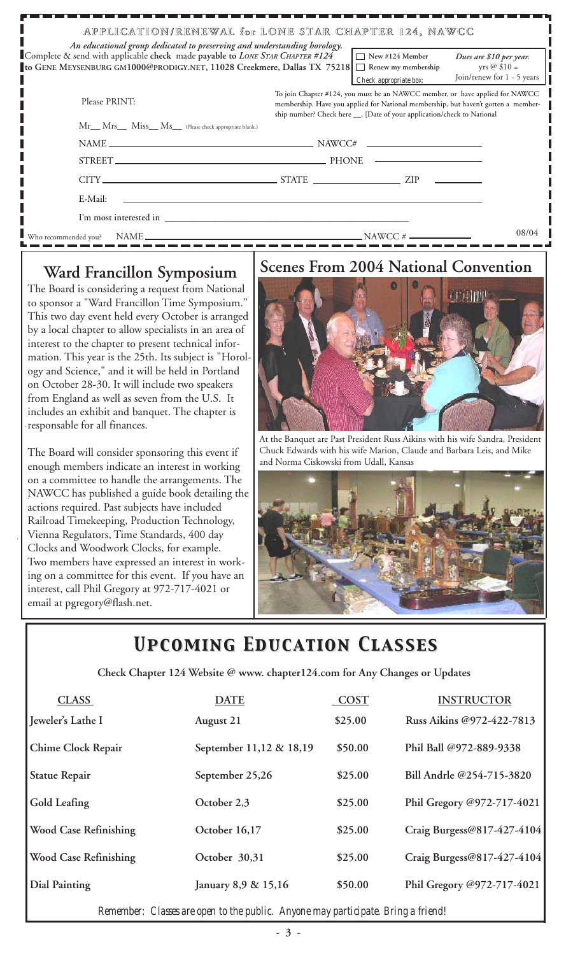| APPLICATION/RENEWAL for LONE STAR CHAPTER 124, NAWCC<br>An educational group dedicated to preserving and understanding horology.                        |                                                                                                                                                                                                                                               |                                                                         |                                                                               |  |  |  |
|---------------------------------------------------------------------------------------------------------------------------------------------------------|-----------------------------------------------------------------------------------------------------------------------------------------------------------------------------------------------------------------------------------------------|-------------------------------------------------------------------------|-------------------------------------------------------------------------------|--|--|--|
| Complete & send with applicable check made payable to LONE STAR CHAPTER #124<br>to GENE MEYSENBURG GM1000@PRODIGY.NET, 11028 Creekmere, Dallas TX 75218 |                                                                                                                                                                                                                                               | $\Box$ New #124 Member<br>Renew my membership<br>Check appropriate box: | Dues are \$10 per year.<br>yrs $\oslash$ \$10 =<br>Join/renew for 1 - 5 years |  |  |  |
| Please PRINT:                                                                                                                                           | To join Chapter #124, you must be an NAWCC member, or have applied for NAWCC<br>membership. Have you applied for National membership, but haven't gotten a member-<br>ship number? Check here __, [Date of your application/check to National |                                                                         |                                                                               |  |  |  |
| Mr__ Mrs__ Miss__ Ms__ (Please check appropriate blank.)                                                                                                |                                                                                                                                                                                                                                               |                                                                         |                                                                               |  |  |  |
|                                                                                                                                                         | $NAME \_\_\_\_\_\_$ NAME                                                                                                                                                                                                                      |                                                                         |                                                                               |  |  |  |
|                                                                                                                                                         |                                                                                                                                                                                                                                               |                                                                         |                                                                               |  |  |  |
| $CITY$ $ZIP$                                                                                                                                            |                                                                                                                                                                                                                                               |                                                                         |                                                                               |  |  |  |
| E-Mail:                                                                                                                                                 |                                                                                                                                                                                                                                               |                                                                         |                                                                               |  |  |  |
|                                                                                                                                                         |                                                                                                                                                                                                                                               |                                                                         |                                                                               |  |  |  |
|                                                                                                                                                         |                                                                                                                                                                                                                                               |                                                                         | 08/04                                                                         |  |  |  |

The Board is considering a request from National to sponsor a "Ward Francillon Time Symposium." This two day event held every October is arranged by a local chapter to allow specialists in an area of interest to the chapter to present technical information. This year is the 25th. Its subject is "Horology and Science," and it will be held in Portland on October 28-30. It will include two speakers from England as well as seven from the U.S. It includes an exhibit and banquet. The chapter is responsable for all finances.

The Board will consider sponsoring this event if enough members indicate an interest in working on a committee to handle the arrangements. The NAWCC has published a guide book detailing the actions required. Past subjects have included Railroad Timekeeping, Production Technology, Vienna Regulators, Time Standards, 400 day Clocks and Woodwork Clocks, for example. Two members have expressed an interest in working on a committee for this event. If you have an interest, call Phil Gregory at 972-717-4021 or email at pgregory@flash.net.

# Ward Francillon Symposium | Scenes From 2004 National Convention



At the Banquet are Past President Russ Aikins with his wife Sandra, President Chuck Edwards with his wife Marion, Claude and Barbara Leis, and Mike and Norma Ciskowski from Udall, Kansas



## *Upcoming Education Classes Upcoming Education Classes*

 **Check Chapter 124 Website @ www. chapter124.com for Any Changes or Updates**

| <b>CLASS</b>                 | <b>DATE</b>             | <b>COST</b> | <b>INSTRUCTOR</b>          |
|------------------------------|-------------------------|-------------|----------------------------|
| Jeweler's Lathe I            | August 21               | \$25.00     | Russ Aikins @972-422-7813  |
| Chime Clock Repair           | September 11,12 & 18,19 | \$50.00     | Phil Ball @972-889-9338    |
| <b>Statue Repair</b>         | September 25,26         | \$25.00     | Bill Andrle @254-715-3820  |
| Gold Leafing                 | October 2,3             | \$25.00     | Phil Gregory @972-717-4021 |
| <b>Wood Case Refinishing</b> | October 16,17           | \$25.00     | Craig Burgess@817-427-4104 |
| <b>Wood Case Refinishing</b> | October 30,31           | \$25.00     | Craig Burgess@817-427-4104 |
| <b>Dial Painting</b>         | January 8,9 & 15,16     | \$50.00     | Phil Gregory @972-717-4021 |

*Remember: Classes are open to the public. Anyone may participate. Bring a friend!*